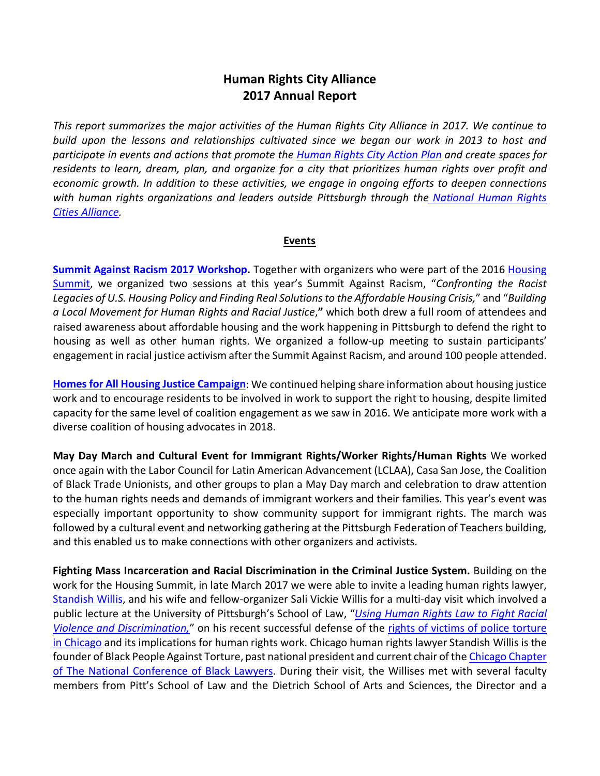## **Human Rights City Alliance 2017 Annual Report**

*This report summarizes the major activities of the Human Rights City Alliance in 2017. We continue to build upon the lessons and relationships cultivated since we began our work in 2013 to host and participate in events and actions that promote the [Human Rights City Action Plan](http://wiki.pghrights.mayfirst.org/index.php?title=Human_Rights_City_Action_Plan) and create spaces for residents to learn, dream, plan, and organize for a city that prioritizes human rights over profit and economic growth. In addition to these activities, we engage in ongoing efforts to deepen connections with human rights organizations and leaders outside Pittsburgh through the [National Human Rights](http://www.ushrnetwork.org/our-work/project/national-human-rights-city-network)  [Cities Alliance.](http://www.ushrnetwork.org/our-work/project/national-human-rights-city-network)*

## **Events**

**[Summit Against Racism 2017](http://wiki.pghrights.mayfirst.org/index.php?title=File:Feb_1_2017_Summit_v.Racism_followup.pdf) Workshop.** Together with organizers who were part of the 2016 Housing [Summit,](http://housingsummitpgh.org/) we organized two sessions at this year's Summit Against Racism, "*Confronting the Racist Legacies of U.S. Housing Policy and Finding Real Solutions to the Affordable Housing Crisis,*" and "*Building a Local Movement for Human Rights and Racial Justice*,**"** which both drew a full room of attendees and raised awareness about affordable housing and the work happening in Pittsburgh to defend the right to housing as well as other human rights. We organized a follow-up meeting to sustain participants' engagement in racial justice activism after the Summit Against Racism, and around 100 people attended.

**[Homes for All Housing Justice Campaign](http://wiki.pghrights.mayfirst.org/index.php?title=Housing_Justice)**: We continued helping share information about housing justice work and to encourage residents to be involved in work to support the right to housing, despite limited capacity for the same level of coalition engagement as we saw in 2016. We anticipate more work with a diverse coalition of housing advocates in 2018.

**[May Day](http://pgh-humanrightscity.wikispaces.com/Human+Rights+Days+of+Action+Spring+2015) March and Cultural Event for Immigrant Rights/Worker Rights/Human Rights** We worked once again with the Labor Council for Latin American Advancement (LCLAA), Casa San Jose, the Coalition of Black Trade Unionists, and other groups to plan a May Day march and celebration to draw attention to the human rights needs and demands of immigrant workers and their families. This year's event was especially important opportunity to show community support for immigrant rights. The march was followed by a cultural event and networking gathering at the Pittsburgh Federation of Teachers building, and this enabled us to make connections with other organizers and activists.

**Fighting Mass Incarceration and Racial Discrimination in the Criminal Justice System.** Building on the work for the Housing Summit, in late March 2017 we were able to invite a leading human rights lawyer, [Standish Willis,](http://www.ushrnetwork.org/news-updates/udhr-campaign-2015-no-one-shall-be-subjected-torture-standish-willis-joey-mogul) and his wife and fellow-organizer Sali Vickie Willis for a multi-day visit which involved a public lecture at the University of Pittsburgh's School of Law, "*[Using Human Rights Law to Fight Racial](https://www.facebook.com/events/1351223831601453/)  [Violence and Discrimination,](https://www.facebook.com/events/1351223831601453/)*" on his recent successful defense of the [rights of victims of police torture](http://tbinternet.ohchr.org/Treaties/CAT/Shared%20Documents/USA/INT_CAT_CSS_USA_18552_E.pdf)  [in Chicago](http://tbinternet.ohchr.org/Treaties/CAT/Shared%20Documents/USA/INT_CAT_CSS_USA_18552_E.pdf) and its implications for human rights work. Chicago human rights lawyer Standish Willis is the founder of Black People Against Torture, past national president and current chair of the Chicago Chapter [of The National Conference of Black Lawyers.](http://salsa3.salsalabs.com/dia/track.jsp?key=-1&url_num=6&url=http%3A%2F%2Fwww.ncbl.org%2Fchapters%2Fchicago-chapter%2F) During their visit, the Willises met with several faculty members from Pitt's School of Law and the Dietrich School of Arts and Sciences, the Director and a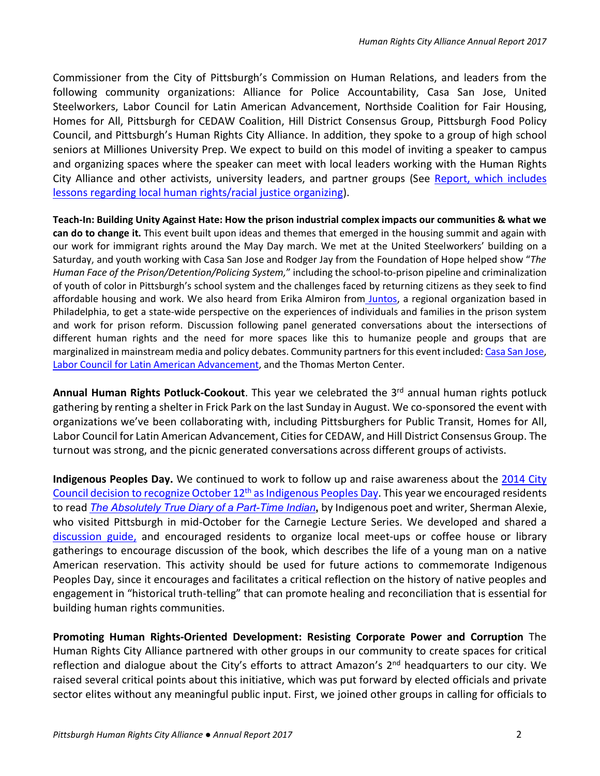Commissioner from the City of Pittsburgh's Commission on Human Relations, and leaders from the following community organizations: Alliance for Police Accountability, Casa San Jose, United Steelworkers, Labor Council for Latin American Advancement, Northside Coalition for Fair Housing, Homes for All, Pittsburgh for CEDAW Coalition, Hill District Consensus Group, Pittsburgh Food Policy Council, and Pittsburgh's Human Rights City Alliance. In addition, they spoke to a group of high school seniors at Milliones University Prep. We expect to build on this model of inviting a speaker to campus and organizing spaces where the speaker can meet with local leaders working with the Human Rights City Alliance and other activists, university leaders, and partner groups (See [Report, which includes](http://wiki.pghrights.mayfirst.org/index.php?title=File:REPORT_Stan_and_Vickie_Casanova_Willis.pdf)  [lessons regarding local human rights/racial justice organizing\)](http://wiki.pghrights.mayfirst.org/index.php?title=File:REPORT_Stan_and_Vickie_Casanova_Willis.pdf).

**Teach-In: Building Unity Against Hate: How the prison industrial complex impacts our communities & what we can do to change it.** This event built upon ideas and themes that emerged in the housing summit and again with our work for immigrant rights around the May Day march. We met at the United Steelworkers' building on a Saturday, and youth working with Casa San Jose and Rodger Jay from the Foundation of Hope helped show "*The Human Face of the Prison/Detention/Policing System,*" including the school-to-prison pipeline and criminalization of youth of color in Pittsburgh's school system and the challenges faced by returning citizens as they seek to find affordable housing and work. We also heard from [Erika Almiron from](http://vamosjuntos.org/) Juntos, a regional organization based in Philadelphia, to get a state-wide perspective on the experiences of individuals and families in the prison system and work for prison reform. Discussion following panel generated conversations about the intersections of different human rights and the need for more spaces like this to humanize people and groups that are marginalized in mainstream media and policy debates. Community partners for this event included[: Casa San Jose,](http://casasanjose.org/)  [Labor Council for Latin American Advancement,](http://www.lclaa.org/) and the Thomas Merton Center.

Annual Human Rights Potluck-Cookout. This year we celebrated the 3<sup>rd</sup> annual human rights potluck gathering by renting a shelter in Frick Park on the last Sunday in August. We co-sponsored the event with organizations we've been collaborating with, including Pittsburghers for Public Transit, Homes for All, Labor Council for Latin American Advancement, Cities for CEDAW, and Hill District Consensus Group. The turnout was strong, and the picnic generated conversations across different groups of activists.

**Indigenous Peoples Day.** We continued to work to follow up and raise awareness about the [2014 City](http://wiki.pghrights.mayfirst.org/index.php?title=File:Indigenous_Peoples_Day_Resolution.pdf)  Council decision to recognize October 12<sup>th</sup> as Indigenous Peoples Day. This year we encouraged residents to read *[The Absolutely True Diary of a Part-Time Indian](https://www.goodreads.com/book/show/693208.The_Absolutely_True_Diary_of_a_Part_Time_Indian?ac=1)***,** by Indigenous poet and writer, Sherman Alexie, who visited Pittsburgh in mid-October for the Carnegie Lecture Series. We developed and shared a [discussion guide,](http://wiki.pghrights.mayfirst.org/index.php?title=File:Discussion_Guide_Alexie_Absolutely_True_Diary_of_Part_Time_Indian.pdf) and encouraged residents to organize local meet-ups or coffee house or library gatherings to encourage discussion of the book, which describes the life of a young man on a native American reservation. This activity should be used for future actions to commemorate Indigenous Peoples Day, since it encourages and facilitates a critical reflection on the history of native peoples and engagement in "historical truth-telling" that can promote healing and reconciliation that is essential for building human rights communities.

**Promoting Human Rights-Oriented Development: Resisting Corporate Power and Corruption** The Human Rights City Alliance partnered with other groups in our community to create spaces for critical reflection and dialogue about the City's efforts to attract Amazon's 2<sup>nd</sup> headquarters to our city. We raised several critical points about this initiative, which was put forward by elected officials and private sector elites without any meaningful public input. First, we joined other groups in calling for officials to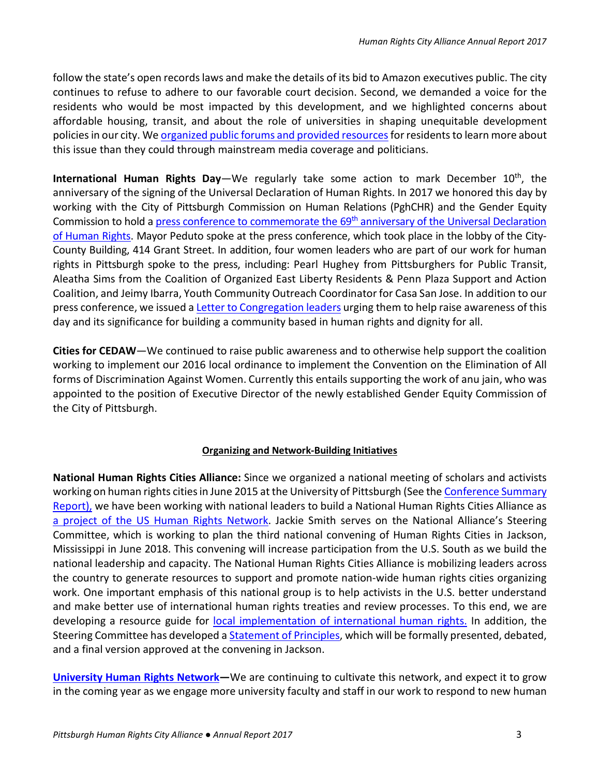follow the state's open records laws and make the details of its bid to Amazon executives public. The city continues to refuse to adhere to our favorable court decision. Second, we demanded a voice for the residents who would be most impacted by this development, and we highlighted concerns about affordable housing, transit, and about the role of universities in shaping unequitable development policies in our city. We [organized public forums and provided resources](http://wiki.pghrights.mayfirst.org/index.php?title=Forums_on_Amazon_HQ2_and_the_Right_to_the_City)for residents to learn more about this issue than they could through mainstream media coverage and politicians.

**International Human Rights Day**—We regularly take some action to mark December 10<sup>th</sup>, the anniversary of the signing of the Universal Declaration of Human Rights. In 2017 we honored this day by working with the City of Pittsburgh Commission on Human Relations (PghCHR) and the Gender Equity Commission to hold a press conference to commemorate the 69<sup>th</sup> anniversary of the Universal Declaration [of Human Rights.](https://www.facebook.com/events/159872111184540/) Mayor Peduto spoke at the press conference, which took place in the lobby of the City-County Building, 414 Grant Street. In addition, four women leaders who are part of our work for human rights in Pittsburgh spoke to the press, including: Pearl Hughey from Pittsburghers for Public Transit, Aleatha Sims from the Coalition of Organized East Liberty Residents & Penn Plaza Support and Action Coalition, and Jeimy Ibarra, Youth Community Outreach Coordinator for Casa San Jose. In addition to our press conference, we issued [a Letter to Congregation leaders](http://wiki.pghrights.mayfirst.org/index.php?title=File:Congregation_Letter_Human_Rights_Day_2017.pdf) urging them to help raise awareness of this day and its significance for building a community based in human rights and dignity for all.

**Cities for CEDAW**—We continued to raise public awareness and to otherwise help support the coalition working to implement our 2016 local ordinance to implement the Convention on the Elimination of All forms of Discrimination Against Women. Currently this entails supporting the work of anu jain, who was appointed to the position of Executive Director of the newly established Gender Equity Commission of the City of Pittsburgh.

## **Organizing and Network-Building Initiatives**

**National Human Rights Cities Alliance:** Since we organized a national meeting of scholars and activists working on human rights cities in June 2015 at the University of Pittsburgh (See the [Conference](http://wiki.pghrights.mayfirst.org/index.php?title=File:Conference_summary_-General_Version_3_2.pdf) Summary Report), we have been working with national leaders to build a National Human Rights Cities Alliance as [a project of the US Human Rights Network.](http://www.ushrnetwork.org/our-work/project/human-rights-cities) Jackie Smith serves on the National Alliance's Steering Committee, which is working to plan the third national convening of Human Rights Cities in Jackson, Mississippi in June 2018. This convening will increase participation from the U.S. South as we build the national leadership and capacity. The National Human Rights Cities Alliance is mobilizing leaders across the country to generate resources to support and promote nation-wide human rights cities organizing work. One important emphasis of this national group is to help activists in the U.S. better understand and make better use of international human rights treaties and review processes. To this end, we are developing a resource guide for [local implementation of international human rights.](http://wiki.pghrights.mayfirst.org/index.php?title=File:Local_Implementation_of_International_Human_Rights.pdf) In addition, the Steering Committee has developed a **Statement of Principles**, which will be formally presented, debated, and a final version approved at the convening in Jackson.

**[University Human Rights Network—](http://wiki.pghrights.mayfirst.org/index.php?title=University_Human_Rights_Network)**We are continuing to cultivate this network, and expect it to grow in the coming year as we engage more university faculty and staff in our work to respond to new human